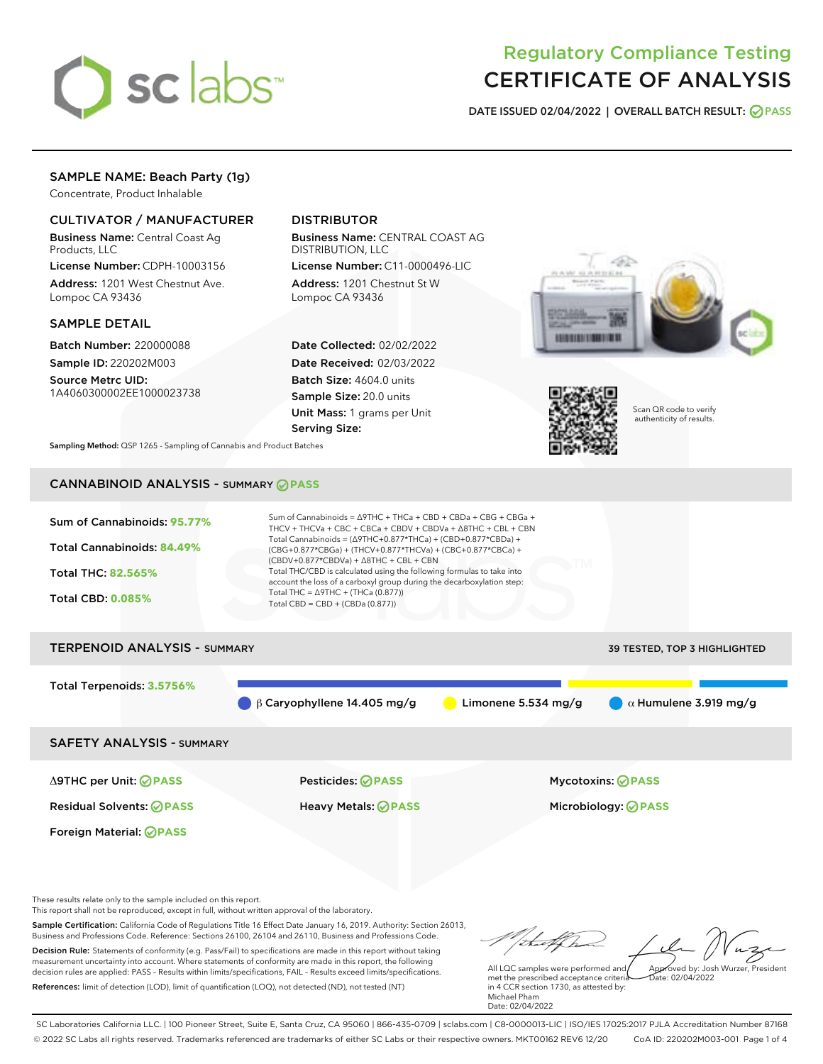

# Regulatory Compliance Testing CERTIFICATE OF ANALYSIS

DATE ISSUED 02/04/2022 | OVERALL BATCH RESULT: @ PASS

# SAMPLE NAME: Beach Party (1g)

Concentrate, Product Inhalable

# CULTIVATOR / MANUFACTURER

Business Name: Central Coast Ag Products, LLC

License Number: CDPH-10003156 Address: 1201 West Chestnut Ave. Lompoc CA 93436

### SAMPLE DETAIL

Batch Number: 220000088 Sample ID: 220202M003

Source Metrc UID: 1A4060300002EE1000023738

# DISTRIBUTOR

Business Name: CENTRAL COAST AG DISTRIBUTION, LLC

License Number: C11-0000496-LIC Address: 1201 Chestnut St W Lompoc CA 93436

Date Collected: 02/02/2022 Date Received: 02/03/2022 Batch Size: 4604.0 units Sample Size: 20.0 units Unit Mass: 1 grams per Unit Serving Size:





Scan QR code to verify authenticity of results.

Sampling Method: QSP 1265 - Sampling of Cannabis and Product Batches

# CANNABINOID ANALYSIS - SUMMARY **PASS**



Sample Certification: California Code of Regulations Title 16 Effect Date January 16, 2019. Authority: Section 26013, Business and Professions Code. Reference: Sections 26100, 26104 and 26110, Business and Professions Code. Decision Rule: Statements of conformity (e.g. Pass/Fail) to specifications are made in this report without taking measurement uncertainty into account. Where statements of conformity are made in this report, the following decision rules are applied: PASS – Results within limits/specifications, FAIL – Results exceed limits/specifications.

References: limit of detection (LOD), limit of quantification (LOQ), not detected (ND), not tested (NT)

All LQC samples were performed and met the prescribed acceptance criteria in 4 CCR section 1730, as attested by: Michael Pham Date: 02/04/2022 Approved by: Josh Wurzer, President  $ate: 02/04/2022$ 

SC Laboratories California LLC. | 100 Pioneer Street, Suite E, Santa Cruz, CA 95060 | 866-435-0709 | sclabs.com | C8-0000013-LIC | ISO/IES 17025:2017 PJLA Accreditation Number 87168 © 2022 SC Labs all rights reserved. Trademarks referenced are trademarks of either SC Labs or their respective owners. MKT00162 REV6 12/20 CoA ID: 220202M003-001 Page 1 of 4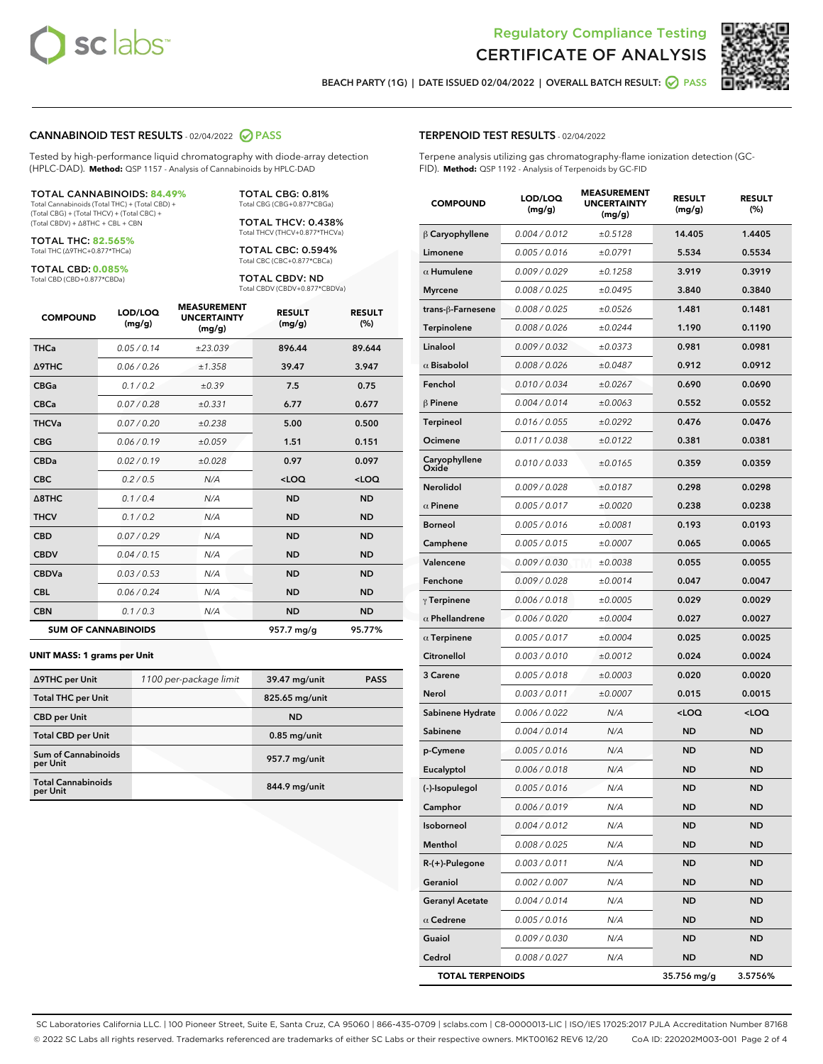



BEACH PARTY (1G) | DATE ISSUED 02/04/2022 | OVERALL BATCH RESULT: @ PASS

#### CANNABINOID TEST RESULTS - 02/04/2022 2 PASS

Tested by high-performance liquid chromatography with diode-array detection (HPLC-DAD). **Method:** QSP 1157 - Analysis of Cannabinoids by HPLC-DAD

#### TOTAL CANNABINOIDS: **84.49%**

Total Cannabinoids (Total THC) + (Total CBD) + (Total CBG) + (Total THCV) + (Total CBC) + (Total CBDV) + ∆8THC + CBL + CBN

TOTAL THC: **82.565%** Total THC (∆9THC+0.877\*THCa)

TOTAL CBD: **0.085%**

Total CBD (CBD+0.877\*CBDa)

TOTAL CBG: 0.81% Total CBG (CBG+0.877\*CBGa)

TOTAL THCV: 0.438% Total THCV (THCV+0.877\*THCVa)

TOTAL CBC: 0.594% Total CBC (CBC+0.877\*CBCa)

TOTAL CBDV: ND Total CBDV (CBDV+0.877\*CBDVa)

| <b>COMPOUND</b> | LOD/LOO<br>(mg/g)          | <b>MEASUREMENT</b><br><b>UNCERTAINTY</b><br>(mg/g) | <b>RESULT</b><br>(mg/g) | <b>RESULT</b><br>(%) |
|-----------------|----------------------------|----------------------------------------------------|-------------------------|----------------------|
| <b>THCa</b>     | 0.05/0.14                  | ±23.039                                            | 896.44                  | 89.644               |
| <b>A9THC</b>    | 0.06 / 0.26                | ±1.358                                             | 39.47                   | 3.947                |
| <b>CBGa</b>     | 0.1/0.2                    | ±0.39                                              | 7.5                     | 0.75                 |
| <b>CBCa</b>     | 0.07 / 0.28                | ±0.331                                             | 6.77                    | 0.677                |
| <b>THCVa</b>    | 0.07/0.20                  | ±0.238                                             | 5.00                    | 0.500                |
| <b>CBG</b>      | 0.06/0.19                  | ±0.059                                             | 1.51                    | 0.151                |
| <b>CBDa</b>     | 0.02/0.19                  | ±0.028                                             | 0.97                    | 0.097                |
| <b>CBC</b>      | 0.2 / 0.5                  | N/A                                                | $<$ LOQ                 | $<$ LOQ              |
| A8THC           | 0.1 / 0.4                  | N/A                                                | <b>ND</b>               | <b>ND</b>            |
| <b>THCV</b>     | 0.1 / 0.2                  | N/A                                                | <b>ND</b>               | <b>ND</b>            |
| <b>CBD</b>      | 0.07/0.29                  | N/A                                                | <b>ND</b>               | <b>ND</b>            |
| <b>CBDV</b>     | 0.04 / 0.15                | N/A                                                | <b>ND</b>               | <b>ND</b>            |
| <b>CBDVa</b>    | 0.03 / 0.53                | N/A                                                | <b>ND</b>               | <b>ND</b>            |
| <b>CBL</b>      | 0.06 / 0.24                | N/A                                                | <b>ND</b>               | <b>ND</b>            |
| <b>CBN</b>      | 0.1/0.3                    | N/A                                                | <b>ND</b>               | <b>ND</b>            |
|                 | <b>SUM OF CANNABINOIDS</b> |                                                    | 957.7 mg/g              | 95.77%               |

#### **UNIT MASS: 1 grams per Unit**

| ∆9THC per Unit                        | 1100 per-package limit | 39.47 mg/unit  | <b>PASS</b> |
|---------------------------------------|------------------------|----------------|-------------|
| <b>Total THC per Unit</b>             |                        | 825.65 mg/unit |             |
| <b>CBD</b> per Unit                   |                        | <b>ND</b>      |             |
| <b>Total CBD per Unit</b>             |                        | $0.85$ mg/unit |             |
| Sum of Cannabinoids<br>per Unit       |                        | 957.7 mg/unit  |             |
| <b>Total Cannabinoids</b><br>per Unit |                        | 844.9 mg/unit  |             |

#### TERPENOID TEST RESULTS - 02/04/2022

Terpene analysis utilizing gas chromatography-flame ionization detection (GC-FID). **Method:** QSP 1192 - Analysis of Terpenoids by GC-FID

| <b>COMPOUND</b>         | LOD/LOQ<br>(mg/g) | <b>MEASUREMENT</b><br><b>UNCERTAINTY</b><br>(mg/g) | <b>RESULT</b><br>(mg/g)                         | <b>RESULT</b><br>(%) |
|-------------------------|-------------------|----------------------------------------------------|-------------------------------------------------|----------------------|
| $\beta$ Caryophyllene   | 0.004 / 0.012     | ±0.5128                                            | 14.405                                          | 1.4405               |
| Limonene                | 0.005 / 0.016     | ±0.0791                                            | 5.534                                           | 0.5534               |
| $\alpha$ Humulene       | 0.009 / 0.029     | ±0.1258                                            | 3.919                                           | 0.3919               |
| <b>Myrcene</b>          | 0.008 / 0.025     | ±0.0495                                            | 3.840                                           | 0.3840               |
| trans-β-Farnesene       | 0.008 / 0.025     | ±0.0526                                            | 1.481                                           | 0.1481               |
| <b>Terpinolene</b>      | 0.008 / 0.026     | ±0.0244                                            | 1.190                                           | 0.1190               |
| Linalool                | 0.009 / 0.032     | ±0.0373                                            | 0.981                                           | 0.0981               |
| $\alpha$ Bisabolol      | 0.008 / 0.026     | ±0.0487                                            | 0.912                                           | 0.0912               |
| Fenchol                 | 0.010 / 0.034     | ±0.0267                                            | 0.690                                           | 0.0690               |
| $\beta$ Pinene          | 0.004 / 0.014     | ±0.0063                                            | 0.552                                           | 0.0552               |
| Terpineol               | 0.016 / 0.055     | ±0.0292                                            | 0.476                                           | 0.0476               |
| Ocimene                 | 0.011 / 0.038     | ±0.0122                                            | 0.381                                           | 0.0381               |
| Caryophyllene<br>Oxide  | 0.010 / 0.033     | ±0.0165                                            | 0.359                                           | 0.0359               |
| <b>Nerolidol</b>        | 0.009 / 0.028     | ±0.0187                                            | 0.298                                           | 0.0298               |
| $\alpha$ Pinene         | 0.005 / 0.017     | ±0.0020                                            | 0.238                                           | 0.0238               |
| <b>Borneol</b>          | 0.005 / 0.016     | ±0.0081                                            | 0.193                                           | 0.0193               |
| Camphene                | 0.005 / 0.015     | ±0.0007                                            | 0.065                                           | 0.0065               |
| Valencene               | 0.009 / 0.030     | ±0.0038                                            | 0.055                                           | 0.0055               |
| Fenchone                | 0.009 / 0.028     | ±0.0014                                            | 0.047                                           | 0.0047               |
| $\gamma$ Terpinene      | 0.006 / 0.018     | ±0.0005                                            | 0.029                                           | 0.0029               |
| $\alpha$ Phellandrene   | 0.006 / 0.020     | ±0.0004                                            | 0.027                                           | 0.0027               |
| $\alpha$ Terpinene      | 0.005 / 0.017     | ±0.0004                                            | 0.025                                           | 0.0025               |
| Citronellol             | 0.003 / 0.010     | ±0.0012                                            | 0.024                                           | 0.0024               |
| 3 Carene                | 0.005 / 0.018     | ±0.0003                                            | 0.020                                           | 0.0020               |
| Nerol                   | 0.003 / 0.011     | ±0.0007                                            | 0.015                                           | 0.0015               |
| Sabinene Hydrate        | 0.006 / 0.022     | N/A                                                | <loq< th=""><th><loq< th=""></loq<></th></loq<> | <loq< th=""></loq<>  |
| Sabinene                | 0.004 / 0.014     | N/A                                                | <b>ND</b>                                       | <b>ND</b>            |
| p-Cymene                | 0.005 / 0.016     | N/A                                                | ND                                              | ND                   |
| Eucalyptol              | 0.006 / 0.018     | N/A                                                | <b>ND</b>                                       | ND                   |
| (-)-Isopulegol          | 0.005 / 0.016     | N/A                                                | <b>ND</b>                                       | <b>ND</b>            |
| Camphor                 | 0.006 / 0.019     | N/A                                                | ND                                              | ND                   |
| Isoborneol              | 0.004 / 0.012     | N/A                                                | ND                                              | ND                   |
| Menthol                 | 0.008 / 0.025     | N/A                                                | <b>ND</b>                                       | ND                   |
| R-(+)-Pulegone          | 0.003 / 0.011     | N/A                                                | ND                                              | ND                   |
| Geraniol                | 0.002 / 0.007     | N/A                                                | ND                                              | ND                   |
| <b>Geranyl Acetate</b>  | 0.004 / 0.014     | N/A                                                | <b>ND</b>                                       | <b>ND</b>            |
| $\alpha$ Cedrene        | 0.005 / 0.016     | N/A                                                | ND                                              | ND                   |
| Guaiol                  | 0.009 / 0.030     | N/A                                                | ND                                              | ND                   |
| Cedrol                  | 0.008 / 0.027     | N/A                                                | <b>ND</b>                                       | ND                   |
| <b>TOTAL TERPENOIDS</b> |                   |                                                    | 35.756 mg/g                                     | 3.5756%              |

SC Laboratories California LLC. | 100 Pioneer Street, Suite E, Santa Cruz, CA 95060 | 866-435-0709 | sclabs.com | C8-0000013-LIC | ISO/IES 17025:2017 PJLA Accreditation Number 87168 © 2022 SC Labs all rights reserved. Trademarks referenced are trademarks of either SC Labs or their respective owners. MKT00162 REV6 12/20 CoA ID: 220202M003-001 Page 2 of 4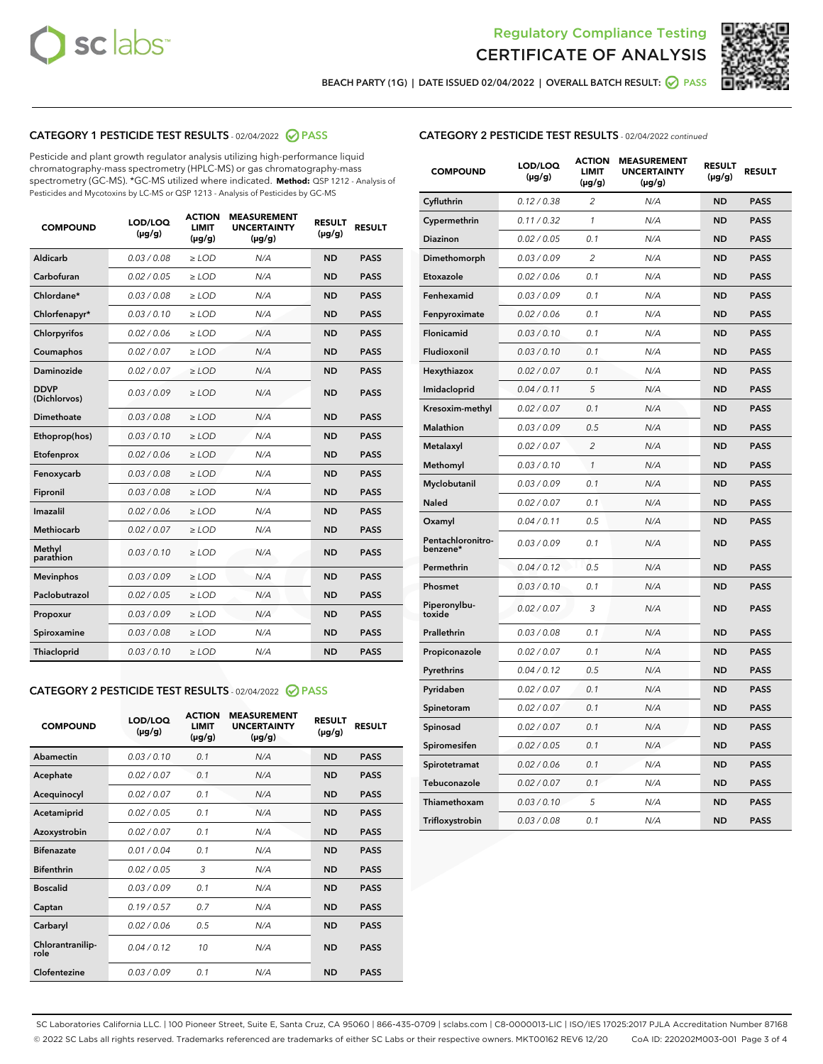



BEACH PARTY (1G) | DATE ISSUED 02/04/2022 | OVERALL BATCH RESULT:  $\bigcirc$  PASS

# CATEGORY 1 PESTICIDE TEST RESULTS - 02/04/2022 2 PASS

Pesticide and plant growth regulator analysis utilizing high-performance liquid chromatography-mass spectrometry (HPLC-MS) or gas chromatography-mass spectrometry (GC-MS). \*GC-MS utilized where indicated. **Method:** QSP 1212 - Analysis of Pesticides and Mycotoxins by LC-MS or QSP 1213 - Analysis of Pesticides by GC-MS

| <b>COMPOUND</b>             | LOD/LOQ<br>$(\mu g/g)$ | <b>ACTION</b><br><b>LIMIT</b><br>$(\mu g/g)$ | <b>MEASUREMENT</b><br><b>UNCERTAINTY</b><br>$(\mu g/g)$ | <b>RESULT</b><br>$(\mu g/g)$ | <b>RESULT</b> |
|-----------------------------|------------------------|----------------------------------------------|---------------------------------------------------------|------------------------------|---------------|
| Aldicarb                    | 0.03 / 0.08            | $\ge$ LOD                                    | N/A                                                     | <b>ND</b>                    | <b>PASS</b>   |
| Carbofuran                  | 0.02 / 0.05            | $\ge$ LOD                                    | N/A                                                     | <b>ND</b>                    | <b>PASS</b>   |
| Chlordane*                  | 0.03 / 0.08            | $\ge$ LOD                                    | N/A                                                     | <b>ND</b>                    | <b>PASS</b>   |
| Chlorfenapyr*               | 0.03/0.10              | $\ge$ LOD                                    | N/A                                                     | <b>ND</b>                    | <b>PASS</b>   |
| Chlorpyrifos                | 0.02 / 0.06            | $\ge$ LOD                                    | N/A                                                     | <b>ND</b>                    | <b>PASS</b>   |
| Coumaphos                   | 0.02 / 0.07            | $\ge$ LOD                                    | N/A                                                     | <b>ND</b>                    | <b>PASS</b>   |
| Daminozide                  | 0.02 / 0.07            | $\ge$ LOD                                    | N/A                                                     | <b>ND</b>                    | <b>PASS</b>   |
| <b>DDVP</b><br>(Dichlorvos) | 0.03/0.09              | $\ge$ LOD                                    | N/A                                                     | <b>ND</b>                    | <b>PASS</b>   |
| Dimethoate                  | 0.03 / 0.08            | $\ge$ LOD                                    | N/A                                                     | <b>ND</b>                    | <b>PASS</b>   |
| Ethoprop(hos)               | 0.03/0.10              | $\ge$ LOD                                    | N/A                                                     | <b>ND</b>                    | <b>PASS</b>   |
| Etofenprox                  | 0.02/0.06              | $>$ LOD                                      | N/A                                                     | <b>ND</b>                    | <b>PASS</b>   |
| Fenoxycarb                  | 0.03 / 0.08            | $>$ LOD                                      | N/A                                                     | <b>ND</b>                    | <b>PASS</b>   |
| Fipronil                    | 0.03 / 0.08            | $>$ LOD                                      | N/A                                                     | <b>ND</b>                    | <b>PASS</b>   |
| Imazalil                    | 0.02 / 0.06            | $>$ LOD                                      | N/A                                                     | <b>ND</b>                    | <b>PASS</b>   |
| <b>Methiocarb</b>           | 0.02 / 0.07            | $\ge$ LOD                                    | N/A                                                     | <b>ND</b>                    | <b>PASS</b>   |
| Methyl<br>parathion         | 0.03/0.10              | $\ge$ LOD                                    | N/A                                                     | <b>ND</b>                    | <b>PASS</b>   |
| <b>Mevinphos</b>            | 0.03/0.09              | $\ge$ LOD                                    | N/A                                                     | <b>ND</b>                    | <b>PASS</b>   |
| Paclobutrazol               | 0.02 / 0.05            | $\ge$ LOD                                    | N/A                                                     | <b>ND</b>                    | <b>PASS</b>   |
| Propoxur                    | 0.03/0.09              | $\ge$ LOD                                    | N/A                                                     | <b>ND</b>                    | <b>PASS</b>   |
| Spiroxamine                 | 0.03 / 0.08            | $\ge$ LOD                                    | N/A                                                     | <b>ND</b>                    | <b>PASS</b>   |
| Thiacloprid                 | 0.03/0.10              | $\ge$ LOD                                    | N/A                                                     | <b>ND</b>                    | <b>PASS</b>   |

#### CATEGORY 2 PESTICIDE TEST RESULTS - 02/04/2022 2 PASS

| <b>COMPOUND</b>          | LOD/LOO<br>$(\mu g/g)$ | <b>ACTION</b><br>LIMIT<br>$(\mu g/g)$ | <b>MEASUREMENT</b><br><b>UNCERTAINTY</b><br>$(\mu g/g)$ | <b>RESULT</b><br>$(\mu g/g)$ | <b>RESULT</b> |
|--------------------------|------------------------|---------------------------------------|---------------------------------------------------------|------------------------------|---------------|
| Abamectin                | 0.03/0.10              | 0.1                                   | N/A                                                     | <b>ND</b>                    | <b>PASS</b>   |
| Acephate                 | 0.02/0.07              | 0.1                                   | N/A                                                     | <b>ND</b>                    | <b>PASS</b>   |
| Acequinocyl              | 0.02/0.07              | 0.1                                   | N/A                                                     | <b>ND</b>                    | <b>PASS</b>   |
| Acetamiprid              | 0.02/0.05              | 0.1                                   | N/A                                                     | <b>ND</b>                    | <b>PASS</b>   |
| Azoxystrobin             | 0.02/0.07              | 0.1                                   | N/A                                                     | <b>ND</b>                    | <b>PASS</b>   |
| <b>Bifenazate</b>        | 0.01 / 0.04            | 0.1                                   | N/A                                                     | <b>ND</b>                    | <b>PASS</b>   |
| <b>Bifenthrin</b>        | 0.02/0.05              | 3                                     | N/A                                                     | <b>ND</b>                    | <b>PASS</b>   |
| <b>Boscalid</b>          | 0.03/0.09              | 0.1                                   | N/A                                                     | <b>ND</b>                    | <b>PASS</b>   |
| Captan                   | 0.19/0.57              | 0.7                                   | N/A                                                     | <b>ND</b>                    | <b>PASS</b>   |
| Carbaryl                 | 0.02/0.06              | 0.5                                   | N/A                                                     | <b>ND</b>                    | <b>PASS</b>   |
| Chlorantranilip-<br>role | 0.04/0.12              | 10                                    | N/A                                                     | <b>ND</b>                    | <b>PASS</b>   |
| Clofentezine             | 0.03/0.09              | 0.1                                   | N/A                                                     | <b>ND</b>                    | <b>PASS</b>   |

| <b>CATEGORY 2 PESTICIDE TEST RESULTS</b> - 02/04/2022 continued |  |
|-----------------------------------------------------------------|--|
|                                                                 |  |

| <b>COMPOUND</b>               | LOD/LOQ<br>(µg/g) | <b>ACTION</b><br>LIMIT<br>$(\mu g/g)$ | <b>MEASUREMENT</b><br><b>UNCERTAINTY</b><br>$(\mu g/g)$ | <b>RESULT</b><br>(µg/g) | <b>RESULT</b> |
|-------------------------------|-------------------|---------------------------------------|---------------------------------------------------------|-------------------------|---------------|
| Cyfluthrin                    | 0.12 / 0.38       | 2                                     | N/A                                                     | <b>ND</b>               | <b>PASS</b>   |
| Cypermethrin                  | 0.11 / 0.32       | $\mathcal{I}$                         | N/A                                                     | <b>ND</b>               | <b>PASS</b>   |
| <b>Diazinon</b>               | 0.02 / 0.05       | 0.1                                   | N/A                                                     | <b>ND</b>               | <b>PASS</b>   |
| Dimethomorph                  | 0.03 / 0.09       | 2                                     | N/A                                                     | <b>ND</b>               | <b>PASS</b>   |
| Etoxazole                     | 0.02 / 0.06       | 0.1                                   | N/A                                                     | <b>ND</b>               | <b>PASS</b>   |
| Fenhexamid                    | 0.03 / 0.09       | 0.1                                   | N/A                                                     | <b>ND</b>               | <b>PASS</b>   |
| Fenpyroximate                 | 0.02 / 0.06       | 0.1                                   | N/A                                                     | <b>ND</b>               | <b>PASS</b>   |
| Flonicamid                    | 0.03 / 0.10       | 0.1                                   | N/A                                                     | <b>ND</b>               | <b>PASS</b>   |
| Fludioxonil                   | 0.03 / 0.10       | 0.1                                   | N/A                                                     | <b>ND</b>               | <b>PASS</b>   |
| Hexythiazox                   | 0.02 / 0.07       | 0.1                                   | N/A                                                     | <b>ND</b>               | <b>PASS</b>   |
| Imidacloprid                  | 0.04 / 0.11       | 5                                     | N/A                                                     | <b>ND</b>               | <b>PASS</b>   |
| Kresoxim-methyl               | 0.02 / 0.07       | 0.1                                   | N/A                                                     | <b>ND</b>               | <b>PASS</b>   |
| <b>Malathion</b>              | 0.03 / 0.09       | 0.5                                   | N/A                                                     | <b>ND</b>               | <b>PASS</b>   |
| Metalaxyl                     | 0.02 / 0.07       | $\overline{c}$                        | N/A                                                     | <b>ND</b>               | <b>PASS</b>   |
| Methomyl                      | 0.03 / 0.10       | $\mathcal{I}$                         | N/A                                                     | <b>ND</b>               | <b>PASS</b>   |
| Myclobutanil                  | 0.03 / 0.09       | 0.1                                   | N/A                                                     | <b>ND</b>               | <b>PASS</b>   |
| Naled                         | 0.02 / 0.07       | 0.1                                   | N/A                                                     | <b>ND</b>               | <b>PASS</b>   |
| Oxamyl                        | 0.04 / 0.11       | 0.5                                   | N/A                                                     | <b>ND</b>               | <b>PASS</b>   |
| Pentachloronitro-<br>benzene* | 0.03/0.09         | 0.1                                   | N/A                                                     | <b>ND</b>               | <b>PASS</b>   |
| Permethrin                    | 0.04 / 0.12       | 0.5                                   | N/A                                                     | <b>ND</b>               | <b>PASS</b>   |
| Phosmet                       | 0.03 / 0.10       | 0.1                                   | N/A                                                     | <b>ND</b>               | <b>PASS</b>   |
| Piperonylbu-<br>toxide        | 0.02 / 0.07       | 3                                     | N/A                                                     | <b>ND</b>               | <b>PASS</b>   |
| Prallethrin                   | 0.03 / 0.08       | 0.1                                   | N/A                                                     | <b>ND</b>               | <b>PASS</b>   |
| Propiconazole                 | 0.02 / 0.07       | 0.1                                   | N/A                                                     | <b>ND</b>               | <b>PASS</b>   |
| Pyrethrins                    | 0.04 / 0.12       | 0.5                                   | N/A                                                     | <b>ND</b>               | <b>PASS</b>   |
| Pyridaben                     | 0.02 / 0.07       | 0.1                                   | N/A                                                     | <b>ND</b>               | <b>PASS</b>   |
| Spinetoram                    | 0.02 / 0.07       | 0.1                                   | N/A                                                     | <b>ND</b>               | <b>PASS</b>   |
| Spinosad                      | 0.02 / 0.07       | 0.1                                   | N/A                                                     | <b>ND</b>               | <b>PASS</b>   |
| Spiromesifen                  | 0.02 / 0.05       | 0.1                                   | N/A                                                     | <b>ND</b>               | <b>PASS</b>   |
| Spirotetramat                 | 0.02 / 0.06       | 0.1                                   | N/A                                                     | <b>ND</b>               | <b>PASS</b>   |
| Tebuconazole                  | 0.02 / 0.07       | 0.1                                   | N/A                                                     | <b>ND</b>               | <b>PASS</b>   |
| Thiamethoxam                  | 0.03 / 0.10       | 5                                     | N/A                                                     | <b>ND</b>               | <b>PASS</b>   |
| Trifloxystrobin               | 0.03 / 0.08       | 0.1                                   | N/A                                                     | <b>ND</b>               | <b>PASS</b>   |

SC Laboratories California LLC. | 100 Pioneer Street, Suite E, Santa Cruz, CA 95060 | 866-435-0709 | sclabs.com | C8-0000013-LIC | ISO/IES 17025:2017 PJLA Accreditation Number 87168 © 2022 SC Labs all rights reserved. Trademarks referenced are trademarks of either SC Labs or their respective owners. MKT00162 REV6 12/20 CoA ID: 220202M003-001 Page 3 of 4